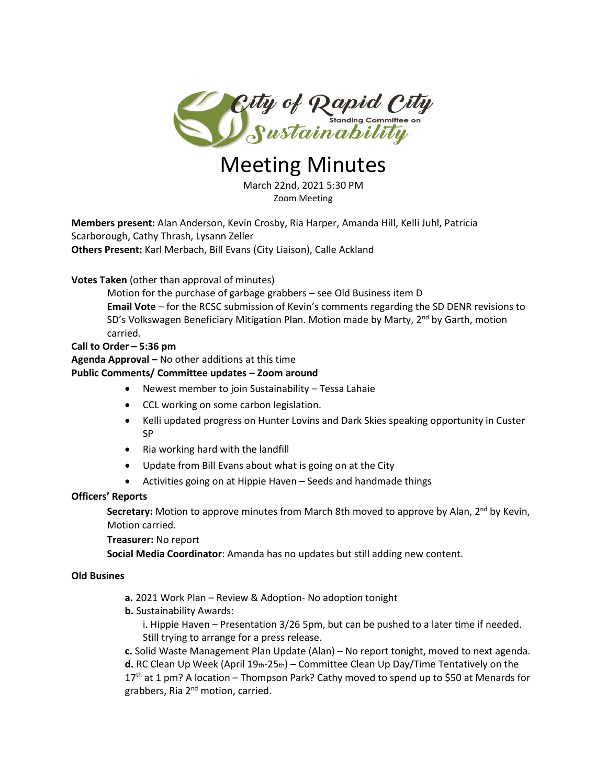

# Meeting Minutes

March 22nd, 2021 5:30 PM Zoom Meeting

**Members present:** Alan Anderson, Kevin Crosby, Ria Harper, Amanda Hill, Kelli Juhl, Patricia Scarborough, Cathy Thrash, Lysann Zeller **Others Present:** Karl Merbach, Bill Evans (City Liaison), Calle Ackland

# **Votes Taken** (other than approval of minutes)

Motion for the purchase of garbage grabbers – see Old Business item D **Email Vote** – for the RCSC submission of Kevin's comments regarding the SD DENR revisions to SD's Volkswagen Beneficiary Mitigation Plan. Motion made by Marty, 2<sup>nd</sup> by Garth, motion carried.

#### **Call to Order – 5:36 pm**

# **Agenda Approval –** No other additions at this time

### **Public Comments/ Committee updates – Zoom around**

- Newest member to join Sustainability Tessa Lahaie
- CCL working on some carbon legislation.
- Kelli updated progress on Hunter Lovins and Dark Skies speaking opportunity in Custer SP
- Ria working hard with the landfill
- Update from Bill Evans about what is going on at the City
- Activities going on at Hippie Haven Seeds and handmade things

#### **Officers' Reports**

Secretary: Motion to approve minutes from March 8th moved to approve by Alan, 2<sup>nd</sup> by Kevin, Motion carried.

#### **Treasurer:** No report

**Social Media Coordinator**: Amanda has no updates but still adding new content.

#### **Old Busines**

- **a.** 2021 Work Plan Review & Adoption- No adoption tonight
- **b.** Sustainability Awards:

i. Hippie Haven – Presentation 3/26 5pm, but can be pushed to a later time if needed. Still trying to arrange for a press release.

**c.** Solid Waste Management Plan Update (Alan) – No report tonight, moved to next agenda.

d. RC Clean Up Week (April 19th-25th) – Committee Clean Up Day/Time Tentatively on the 17<sup>th</sup> at 1 pm? A location – Thompson Park? Cathy moved to spend up to \$50 at Menards for grabbers, Ria 2<sup>nd</sup> motion, carried.